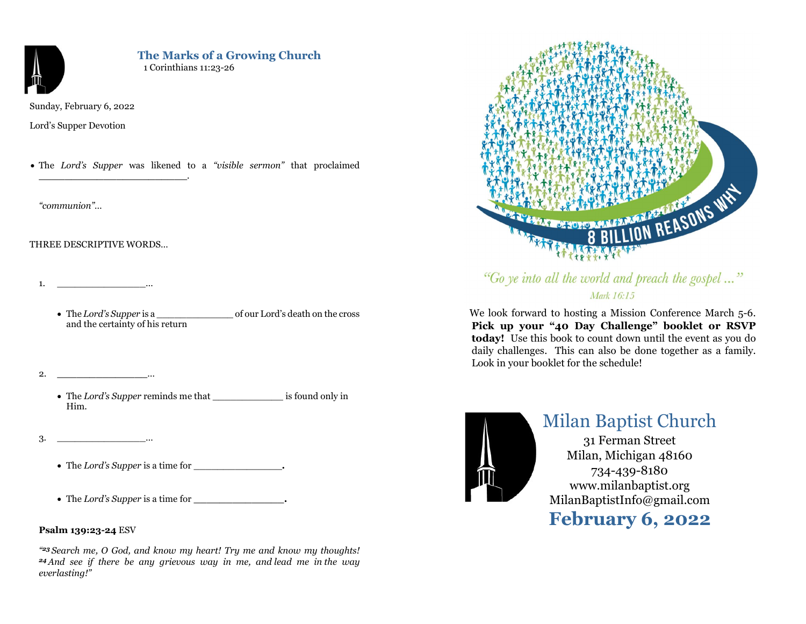

# The Marks of a Growing Church 1 Corinthians 11:23-26

Sunday, February 6, 2022

Lord's Supper Devotion

• The Lord's Supper was likened to a "visible sermon" that proclaimed

"communion"…

# THREE DESCRIPTIVE WORDS…

\_\_\_\_\_\_\_\_\_\_\_\_\_\_\_\_\_\_\_\_\_\_\_.

1. <u>\_\_\_\_\_\_\_\_\_\_\_\_\_\_\_</u>…\_\_

- The Lord's Supper is a contract of our Lord's death on the cross and the certainty of his return
- $2.$   $\ldots$ 
	- The Lord's Supper reminds me that is found only in Him.
- 3. <u>\_\_\_\_\_\_\_\_\_\_\_\_\_\_\_\_\_\_\_\_\_\_</u>...
	- The Lord's Supper is a time for \_\_\_\_\_\_\_\_\_\_\_\_\_\_\_.
	- The Lord's Supper is a time for  $\cdot$

# Psalm 139:23-24 ESV

" <sup>23</sup>Search me, O God, and know my heart! Try me and know my thoughts! <sup>24</sup>And see if there be any grievous way in me, and lead me in the way everlasting!"



"Go ye into all the world and preach the gospel..." Mark 16:15

 We look forward to hosting a Mission Conference March 5-6. Pick up your "40 Day Challenge" booklet or RSVP today! Use this book to count down until the event as you do daily challenges. This can also be done together as a family. Look in your booklet for the schedule!



# Milan Baptist Church

31 Ferman Street Milan, Michigan 48160 734-439-8180 www.milanbaptist.org MilanBaptistInfo@gmail.com February 6, 2022